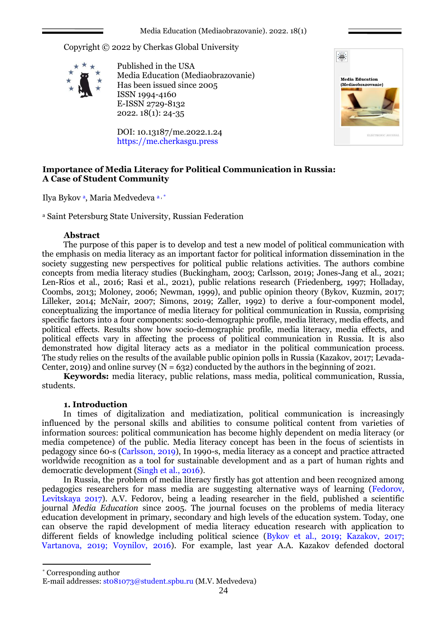Copyright © 2022 by Cherkas Global University



Published in the USA Media Education (Mediaobrazovanie) Has been issued since 2005 ISSN 1994-4160 E-ISSN 2729-8132 2022. 18(1): 24-35

DOI: 10.13187/me.2022.1.24 https://me.cherkasgu.press



# **Importance of Media Literacy for Political Communication in Russia: A Case of Student Community**

Ilya Bykov<sup>a</sup>, Maria Medvedeva<sup>a,\*</sup>

<sup>a</sup> Saint Petersburg State University, Russian Federation

## **Abstract**

The purpose of this paper is to develop and test a new model of political communication with the emphasis on media literacy as an important factor for political information dissemination in the society suggesting new perspectives for political public relations activities. The authors combine concepts from media literacy studies (Buckingham, 2003; Carlsson, 2019; Jones-Jang et al., 2021; Len-Ríos et al., 2016; Rasi et al., 2021), public relations research (Friedenberg, 1997; Holladay, Coombs, 2013; Moloney, 2006; Newman, 1999), and public opinion theory (Bykov, Kuzmin, 2017; Lilleker, 2014; McNair, 2007; Simons, 2019; Zaller, 1992) to derive a four-component model, conceptualizing the importance of media literacy for political communication in Russia, comprising specific factors into a four components: socio-demographic profile, media literacy, media effects, and political effects. Results show how socio-demographic profile, media literacy, media effects, and political effects vary in affecting the process of political communication in Russia. It is also demonstrated how digital literacy acts as a mediator in the political communication process. The study relies on the results of the available public opinion polls in Russia (Kazakov, 2017; Levada-Center, 2019) and online survey  $(N = 632)$  conducted by the authors in the beginning of 2021.

**Keywords:** media literacy, public relations, mass media, political communication, Russia, students.

### **1. Introduction**

In times of digitalization and mediatization, political communication is increasingly influenced by the personal skills and abilities to consume political content from varieties of information sources: political communication has become highly dependent on media literacy (or media competence) of the public. Media literacy concept has been in the focus of scientists in pedagogy since 60-s (Carlsson, 2019), In 1990-s, media literacy as a concept and practice attracted worldwide recognition as a tool for sustainable development and as a part of human rights and democratic development (Singh et al., 2016).

In Russia, the problem of media literacy firstly has got attention and been recognized among pedagogics researchers for mass media are suggesting alternative ways of learning (Fedorov, Levitskaya 2017). A.V. Fedorov, being a leading researcher in the field, published a scientific journal *Media Education* since 2005. The journal focuses on the problems of media literacy education development in primary, secondary and high levels of the education system. Today, one can observe the rapid development of media literacy education research with application to different fields of knowledge including political science (Bykov et al., 2019; Kazakov, 2017; Vartanova, 2019; Voynilov, 2016). For example, last year A.A. Kazakov defended doctoral

\* Corresponding author

1

E-mail addresses: [st081073@student.spbu.ru](mailto:st081073@student.spbu.ru) (M.V. Medvedeva)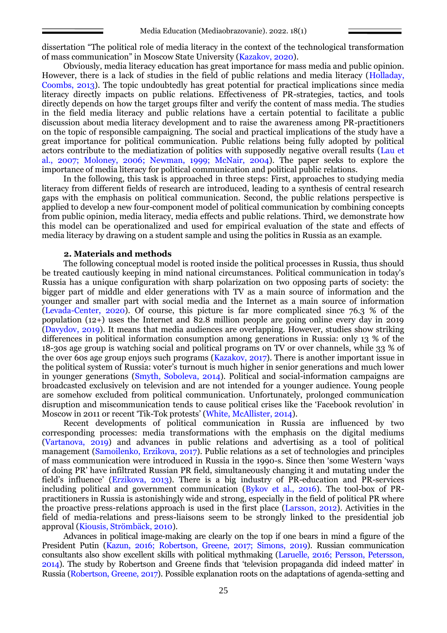dissertation "The political role of media literacy in the context of the technological transformation of mass communication" in Moscow State University (Kazakov, 2020).

Obviously, media literacy education has great importance for mass media and public opinion. However, there is a lack of studies in the field of public relations and media literacy (Holladay, Coombs, 2013). The topic undoubtedly has great potential for practical implications since media literacy directly impacts on public relations. Effectiveness of PR-strategies, tactics, and tools directly depends on how the target groups filter and verify the content of mass media. The studies in the field media literacy and public relations have a certain potential to facilitate a public discussion about media literacy development and to raise the awareness among PR-practitioners on the topic of responsible campaigning. The social and practical implications of the study have a great importance for political communication. Public relations being fully adopted by political actors contribute to the mediatization of politics with supposedly negative overall results (Lau et al., 2007; Moloney, 2006; Newman, 1999; McNair, 2004). The paper seeks to explore the importance of media literacy for political communication and political public relations.

In the following, this task is approached in three steps: First, approaches to studying media literacy from different fields of research are introduced, leading to a synthesis of central research gaps with the emphasis on political communication. Second, the public relations perspective is applied to develop a new four-component model of political communication by combining concepts from public opinion, media literacy, media effects and public relations. Third, we demonstrate how this model can be operationalized and used for empirical evaluation of the state and effects of media literacy by drawing on a student sample and using the politics in Russia as an example.

#### **2. Materials and methods**

The following conceptual model is rooted inside the political processes in Russia, thus should be treated cautiously keeping in mind national circumstances. Political communication in today's Russia has a unique configuration with sharp polarization on two opposing parts of society: the bigger part of middle and elder generations with TV as a main source of information and the younger and smaller part with social media and the Internet as a main source of information (Levada-Center, 2020). Of course, this picture is far more complicated since 76.3 % of the population (12+) uses the Internet and  $\overline{82.8}$  million people are going online every day in 2019 (Davydov, 2019). It means that media audiences are overlapping. However, studies show striking differences in political information consumption among generations in Russia: only 13 % of the 18-30s age group is watching social and political programs on TV or over channels, while 33 % of the over 60s age group enjoys such programs (Kazakov, 2017). There is another important issue in the political system of Russia: voter's turnout is much higher in senior generations and much lower in younger generations (Smyth, Soboleva, 2014). Political and social-information campaigns are broadcasted exclusively on television and are not intended for a younger audience. Young people are somehow excluded from political communication. Unfortunately, prolonged communication disruption and miscommunication tends to cause political crises like the 'Facebook revolution' in Moscow in 2011 or recent 'Tik-Tok protests' (White, McAllister, 2014).

Recent developments of political communication in Russia are influenced by two corresponding processes: media transformations with the emphasis on the digital mediums (Vartanova, 2019) and advances in public relations and advertising as a tool of political management (Samoilenko, Erzikova, 2017). Public relations as a set of technologies and principles of mass communication were introduced in Russia in the 1990-s. Since then 'some Western 'ways of doing PR' have infiltrated Russian PR field, simultaneously changing it and mutating under the field's influence' (Erzikova, 2013). There is a big industry of PR-education and PR-services including political and government communication (Bykov et al., 2016). The tool-box of PRpractitioners in Russia is astonishingly wide and strong, especially in the field of political PR where the proactive press-relations approach is used in the first place (Larsson, 2012). Activities in the field of media-relations and press-liaisons seem to be strongly linked to the presidential job approval (Kiousis, Strömbäck, 2010).

Advances in political image-making are clearly on the top if one bears in mind a figure of the President Putin (Kazun, 2016; Robertson, Greene, 2017; Simons, 2019). Russian communication consultants also show excellent skills with political mythmaking (Laruelle, 2016; Persson, Petersson, 2014). The study by Robertson and Greene finds that 'television propaganda did indeed matter' in Russia (Robertson, Greene, 2017). Possible explanation roots on the adaptations of agenda-setting and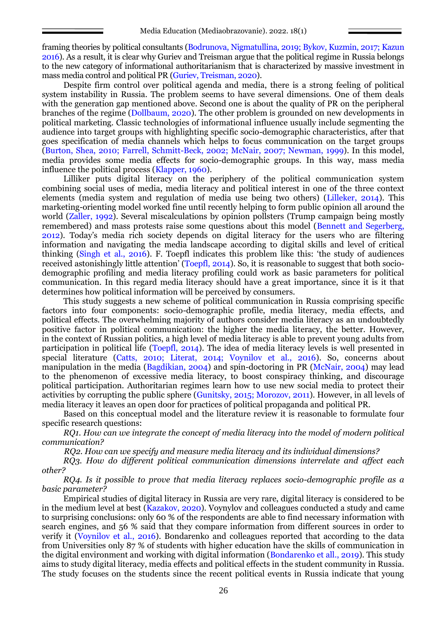framing theories by political consultants (Bodrunova, Nigmatullina, 2019; Bykov, Kuzmin, 2017; Kazun 2016). As a result, it is clear why Guriev and Treisman argue that the political regime in Russia belongs to the new category of informational authoritarianism that is characterized by massive investment in mass media control and political PR (Guriev, Treisman, 2020).

Despite firm control over political agenda and media, there is a strong feeling of political system instability in Russia. The problem seems to have several dimensions. One of them deals with the generation gap mentioned above. Second one is about the quality of PR on the peripheral branches of the regime (Dollbaum, 2020). The other problem is grounded on new developments in political marketing. Classic technologies of informational influence usually include segmenting the audience into target groups with highlighting specific socio-demographic characteristics, after that goes specification of media channels which helps to focus communication on the target groups (Burton, Shea, 2010; Farrell, Schmitt-Beck, 2002; McNair, 2007; Newman, 1999). In this model, media provides some media effects for socio-demographic groups. In this way, mass media influence the political process (Klapper, 1960).

Lilliker puts digital literacy on the periphery of the political communication system combining social uses of media, media literacy and political interest in one of the three context elements (media system and regulation of media use being two others) (Lilleker, 2014). This marketing-orienting model worked fine until recently helping to form public opinion all around the world (Zaller, 1992). Several miscalculations by opinion pollsters (Trump campaign being mostly remembered) and mass protests raise some questions about this model (Bennett and Segerberg, 2012). Today's media rich society depends on digital literacy for the users who are filtering information and navigating the media landscape according to digital skills and level of critical thinking (Singh et al., 2016). F. Toepfl indicates this problem like this: 'the study of audiences received astonishingly little attention' (Toepfl, 2014). So, it is reasonable to suggest that both sociodemographic profiling and media literacy profiling could work as basic parameters for political communication. In this regard media literacy should have a great importance, since it is it that determines how political information will be perceived by consumers.

This study suggests a new scheme of political communication in Russia comprising specific factors into four components: socio-demographic profile, media literacy, media effects, and political effects. The overwhelming majority of authors consider media literacy as an undoubtedly positive factor in political communication: the higher the media literacy, the better. However, in the context of Russian politics, a high level of media literacy is able to prevent young adults from participation in political life (Toepfl, 2014). The idea of media literacy levels is well presented in special literature (Catts, 2010; Literat, 2014; Voynilov et al., 2016). So, concerns about manipulation in the media (Bagdikian, 2004) and spin-doctoring in PR (McNair, 2004) may lead to the phenomenon of excessive media literacy, to boost conspiracy thinking, and discourage political participation. Authoritarian regimes learn how to use new social media to protect their activities by corrupting the public sphere (Gunitsky, 2015; Morozov, 2011). However, in all levels of media literacy it leaves an open door for practices of political propaganda and political PR.

Based on this conceptual model and the literature review it is reasonable to formulate four specific research questions:

*RQ1. How can we integrate the concept of media literacy into the model of modern political communication?*

*RQ2. How can we specify and measure media literacy and its individual dimensions?*

*RQ3. How do different political communication dimensions interrelate and affect each other?*

*RQ4. Is it possible to prove that media literacy replaces socio-demographic profile as a basic parameter?*

Empirical studies of digital literacy in Russia are very rare, digital literacy is considered to be in the medium level at best (Kazakov, 2020). Voynylov and colleagues conducted a study and came to surprising conclusions: only 60 % of the respondents are able to find necessary information with search engines, and 56 % said that they compare information from different sources in order to verify it (Voynilov et al., 2016). Bondarenko and colleagues reported that according to the data from Universities only 87 % of students with higher education have the skills of communication in the digital environment and working with digital information (Bondarenko et all., 2019). This study aims to study digital literacy, media effects and political effects in the student community in Russia. The study focuses on the students since the recent political events in Russia indicate that young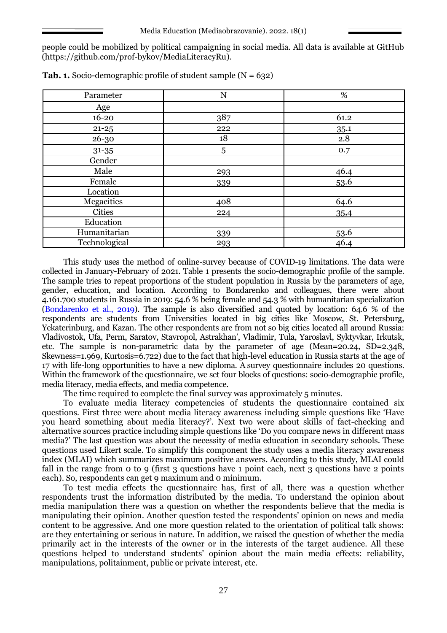people could be mobilized by political campaigning in social media. All data is available at GitHub [\(https://github.com/prof-bykov/MediaLiteracyRu\)](https://github.com/prof-bykov/MediaLiteracyRu).

| Parameter     | %<br>N |                     |
|---------------|--------|---------------------|
| Age           |        |                     |
| $16 - 20$     | 387    | 61.2                |
| $21 - 25$     | 222    | 35.1                |
| 26-30         | 18     | 2.8                 |
| $31 - 35$     | 5      | 0.7                 |
| Gender        |        |                     |
| Male          | 293    |                     |
| Female        | 339    | $\frac{46.4}{53.6}$ |
| Location      |        |                     |
| Megacities    | 408    | 64.6                |
| <b>Cities</b> | 224    | 35,4                |
| Education     |        |                     |
| Humanitarian  | 339    | 53.6                |
| Technological | 293    | 46.4                |

**Tab. 1.** Socio-demographic profile of student sample (N = 632)

This study uses the method of online-survey because of COVID-19 limitations. The data were collected in January-February of 2021. Table 1 presents the socio-demographic profile of the sample. The sample tries to repeat proportions of the student population in Russia by the parameters of age, gender, education, and location. According to Bondarenko and colleagues, there were about 4.161.700 students in Russia in 2019: 54.6 % being female and 54.3 % with humanitarian specialization (Bondarenko et al., 2019). The sample is also diversified and quoted by location: 64.6 % of the respondents are students from Universities located in big cities like Moscow, St. Petersburg, Yekaterinburg, and Kazan. The other respondents are from not so big cities located all around Russia: Vladivostok, Ufa, Perm, Saratov, Stavropol, Astrakhan', Vladimir, Tula, Yaroslavl, Syktyvkar, Irkutsk, etc. The sample is non-parametric data by the parameter of age (Mean=20.24, SD=2.348, Skewness=1.969, Kurtosis=6.722) due to the fact that high-level education in Russia starts at the age of 17 with life-long opportunities to have a new diploma. A survey questionnaire includes 20 questions. Within the framework of the questionnaire, we set four blocks of questions: socio-demographic profile, media literacy, media effects, and media competence.

The time required to complete the final survey was approximately 5 minutes.

To evaluate media literacy competencies of students the questionnaire contained six questions. First three were about media literacy awareness including simple questions like 'Have you heard something about media literacy?'. Next two were about skills of fact-checking and alternative sources practice including simple questions like 'Do you compare news in different mass media?' The last question was about the necessity of media education in secondary schools. These questions used Likert scale. To simplify this component the study uses a media literacy awareness index (MLAI) which summarizes maximum positive answers. According to this study, MLAI could fall in the range from 0 to 9 (first 3 questions have 1 point each, next 3 questions have 2 points each). So, respondents can get 9 maximum and 0 minimum.

To test media effects the questionnaire has, first of all, there was a question whether respondents trust the information distributed by the media. To understand the opinion about media manipulation there was a question on whether the respondents believe that the media is manipulating their opinion. Another question tested the respondents' opinion on news and media content to be aggressive. And one more question related to the orientation of political talk shows: are they entertaining or serious in nature. In addition, we raised the question of whether the media primarily act in the interests of the owner or in the interests of the target audience. All these questions helped to understand students' opinion about the main media effects: reliability, manipulations, politainment, public or private interest, etc.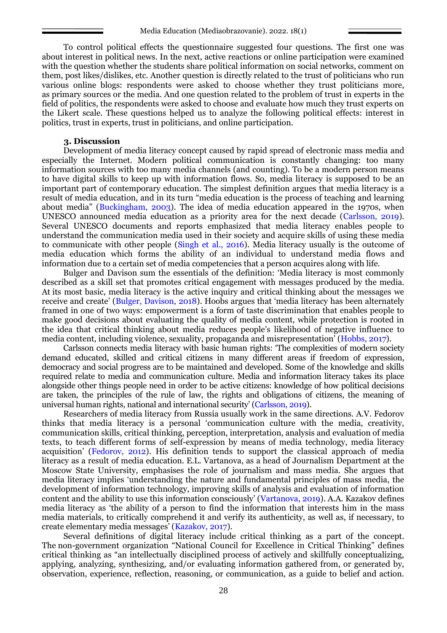To control political effects the questionnaire suggested four questions. The first one was about interest in political news. In the next, active reactions or online participation were examined with the question whether the students share political information on social networks, comment on them, post likes/dislikes, etc. Another question is directly related to the trust of politicians who run various online blogs: respondents were asked to choose whether they trust politicians more, as primary sources or the media. And one question related to the problem of trust in experts in the field of politics, the respondents were asked to choose and evaluate how much they trust experts on the Likert scale. These questions helped us to analyze the following political effects: interest in politics, trust in experts, trust in politicians, and online participation.

#### **3. Discussion**

Development of media literacy concept caused by rapid spread of electronic mass media and especially the Internet. Modern political communication is constantly changing: too many information sources with too many media channels (and counting). To be a modern person means to have digital skills to keep up with information flows. So, media literacy is supposed to be an important part of contemporary education. The simplest definition argues that media literacy is a result of media education, and in its turn "media education is the process of teaching and learning about media" (Buckingham, 2003). The idea of media education appeared in the 1970s, when UNESCO announced media education as a priority area for the next decade (Carlsson, 2019). Several UNESCO documents and reports emphasized that media literacy enables people to understand the communication media used in their society and acquire skills of using these media to communicate with other people (Singh et al., 2016). Media literacy usually is the outcome of media education which forms the ability of an individual to understand media flows and information due to a certain set of media competencies that a person acquires along with life.

Bulger and Davison sum the essentials of the definition: 'Media literacy is most commonly described as a skill set that promotes critical engagement with messages produced by the media. At its most basic, media literacy is the active inquiry and critical thinking about the messages we receive and create' (Bulger, Davison, 2018). Hoobs argues that 'media literacy has been alternately framed in one of two ways: empowerment is a form of taste discrimination that enables people to make good decisions about evaluating the quality of media content, while protection is rooted in the idea that critical thinking about media reduces people's likelihood of negative influence to media content, including violence, sexuality, propaganda and misrepresentation' (Hobbs, 2017).

Carlsson connects media literacy with basic human rights: 'The complexities of modern society demand educated, skilled and critical citizens in many different areas if freedom of expression, democracy and social progress are to be maintained and developed. Some of the knowledge and skills required relate to media and communication culture. Media and information literacy takes its place alongside other things people need in order to be active citizens: knowledge of how political decisions are taken, the principles of the rule of law, the rights and obligations of citizens, the meaning of universal human rights, national and international security' (Carlsson, 2019).

Researchers of media literacy from Russia usually work in the same directions. A.V. Fedorov thinks that media literacy is a personal 'communication culture with the media, creativity, communication skills, critical thinking, perception, interpretation, analysis and evaluation of media texts, to teach different forms of self-expression by means of media technology, media literacy acquisition' (Fedorov, 2012). His definition tends to support the classical approach of media literacy as a result of media education. E.L. Vartanova, as a head of Journalism Department at the Moscow State University, emphasises the role of journalism and mass media. She argues that media literacy implies 'understanding the nature and fundamental principles of mass media, the development of information technology, improving skills of analysis and evaluation of information content and the ability to use this information consciously' (Vartanova, 2019). A.A. Kazakov defines media literacy as 'the ability of a person to find the information that interests him in the mass media materials, to critically comprehend it and verify its authenticity, as well as, if necessary, to create elementary media messages' (Kazakov, 2017).

Several definitions of digital literacy include critical thinking as a part of the concept. The non-government organization "National Council for Excellence in Critical Thinking" defines critical thinking as "an intellectually disciplined process of actively and skillfully conceptualizing, applying, analyzing, synthesizing, and/or evaluating information gathered from, or generated by, observation, experience, reflection, reasoning, or communication, as a guide to belief and action.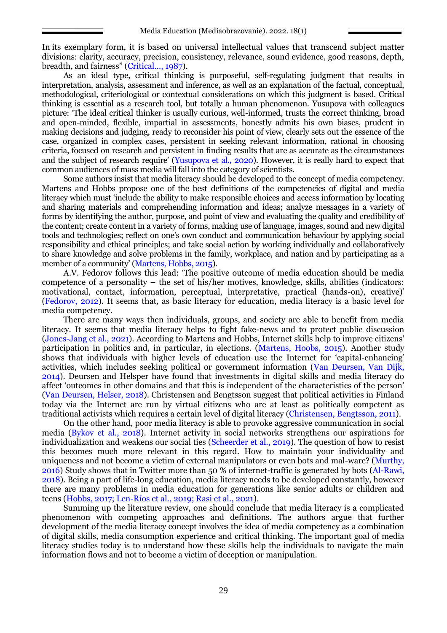In its exemplary form, it is based on universal intellectual values that transcend subject matter divisions: clarity, accuracy, precision, consistency, relevance, sound evidence, good reasons, depth, breadth, and fairness" (Critical…, 1987).

As an ideal type, critical thinking is purposeful, self-regulating judgment that results in interpretation, analysis, assessment and inference, as well as an explanation of the factual, conceptual, methodological, criteriological or contextual considerations on which this judgment is based. Critical thinking is essential as a research tool, but totally a human phenomenon. Yusupova with colleagues picture: 'The ideal critical thinker is usually curious, well-informed, trusts the correct thinking, broad and open-minded, flexible, impartial in assessments, honestly admits his own biases, prudent in making decisions and judging, ready to reconsider his point of view, clearly sets out the essence of the case, organized in complex cases, persistent in seeking relevant information, rational in choosing criteria, focused on research and persistent in finding results that are as accurate as the circumstances and the subject of research require' (Yusupova et al., 2020). However, it is really hard to expect that common audiences of mass media will fall into the category of scientists.

Some authors insist that media literacy should be developed to the concept of media competency. Martens and Hobbs propose one of the best definitions of the competencies of digital and media literacy which must 'include the ability to make responsible choices and access information by locating and sharing materials and comprehending information and ideas; analyze messages in a variety of forms by identifying the author, purpose, and point of view and evaluating the quality and credibility of the content; create content in a variety of forms, making use of language, images, sound and new digital tools and technologies; reflect on one's own conduct and communication behaviour by applying social responsibility and ethical principles; and take social action by working individually and collaboratively to share knowledge and solve problems in the family, workplace, and nation and by participating as a member of a community' (Martens, Hobbs, 2015).

A.V. Fedorov follows this lead: 'The positive outcome of media education should be media competence of a personality – the set of his/her motives, knowledge, skills, abilities (indicators: motivational, contact, information, perceptual, interpretative, practical (hands-on), creative)' (Fedorov, 2012). It seems that, as basic literacy for education, media literacy is a basic level for media competency.

There are many ways then individuals, groups, and society are able to benefit from media literacy. It seems that media literacy helps to fight fake-news and to protect public discussion (Jones-Jang et al., 2021). According to Martens and Hobbs, Internet skills help to improve citizens' participation in politics and, in particular, in elections. (Martens, Hoobs, 2015). Another study shows that individuals with higher levels of education use the Internet for 'capital-enhancing' activities, which includes seeking political or government information (Van Deursen, Van Dijk, 2014). Deursen and Helsper have found that investments in digital skills and media literacy do affect 'outcomes in other domains and that this is independent of the characteristics of the person' (Van Deursen, Helser, 2018). Christensen and Bengtsson suggest that political activities in Finland today via the Internet are run by virtual citizens who are at least as politically competent as traditional activists which requires a certain level of digital literacy (Christensen, Bengtsson, 2011).

On the other hand, poor media literacy is able to provoke aggressive communication in social media (Bykov et al., 2018). Internet activity in social networks strengthens our aspirations for individualization and weakens our social ties (Scheerder et al., 2019). The question of how to resist this becomes much more relevant in this regard. How to maintain your individuality and uniqueness and not become a victim of external manipulators or even bots and mal-ware? (Murthy, 2016) Study shows that in Twitter more than 50 % of internet-traffic is generated by bots (Al-Rawi, 2018). Being a part of life-long education, media literacy needs to be developed constantly, however there are many problems in media education for generations like senior adults or children and teens (Hobbs, 2017; Len-Ríos et al., 2019; Rasi et al., 2021).

Summing up the literature review, one should conclude that media literacy is a complicated phenomenon with competing approaches and definitions. The authors argue that further development of the media literacy concept involves the idea of media competency as a combination of digital skills, media consumption experience and critical thinking. The important goal of media literacy studies today is to understand how these skills help the individuals to navigate the main information flows and not to become a victim of deception or manipulation.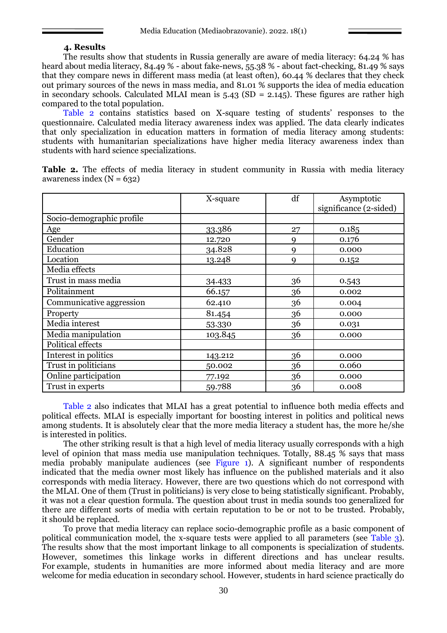#### **4. Results**

The results show that students in Russia generally are aware of media literacy: 64.24 % has heard about media literacy, 84.49 % - about fake-news, 55.38 % - about fact-checking, 81.49 % says that they compare news in different mass media (at least often), 60.44 % declares that they check out primary sources of the news in mass media, and 81.01 % supports the idea of media education in secondary schools. Calculated MLAI mean is  $5.43$  (SD = 2.145). These figures are rather high compared to the total population.

Table 2 contains statistics based on X-square testing of students' responses to the questionnaire. Calculated media literacy awareness index was applied. The data clearly indicates that only specialization in education matters in formation of media literacy among students: students with humanitarian specializations have higher media literacy awareness index than students with hard science specializations.

|                           | X-square | df | Asymptotic             |  |  |
|---------------------------|----------|----|------------------------|--|--|
|                           |          |    | significance (2-sided) |  |  |
| Socio-demographic profile |          |    |                        |  |  |
| Age                       | 33.386   | 27 | 0.185                  |  |  |
| Gender                    | 12.720   | 9  | 0.176                  |  |  |
| Education                 | 34.828   | 9  | 0.000                  |  |  |
| Location                  | 13.248   | 9  | 0.152                  |  |  |
| Media effects             |          |    |                        |  |  |
| Trust in mass media       | 34.433   | 36 | 0.543                  |  |  |
| Politainment              | 66.157   | 36 | 0.002                  |  |  |
| Communicative aggression  | 62.410   | 36 | 0.004                  |  |  |
| Property                  | 81.454   | 36 | 0.000                  |  |  |
| Media interest            | 53.330   | 36 | 0.031                  |  |  |
| Media manipulation        | 103.845  | 36 | 0.000                  |  |  |
| Political effects         |          |    |                        |  |  |
| Interest in politics      | 143.212  | 36 | 0.000                  |  |  |
| Trust in politicians      | 50.002   | 36 | 0.060                  |  |  |
| Online participation      | 77.192   | 36 | 0.000                  |  |  |
| Trust in experts          | 59.788   | 36 | 0.008                  |  |  |

**Table 2.** The effects of media literacy in student community in Russia with media literacy awareness index  $(N = 632)$ 

Table 2 also indicates that MLAI has a great potential to influence both media effects and political effects. MLAI is especially important for boosting interest in politics and political news among students. It is absolutely clear that the more media literacy a student has, the more he/she is interested in politics.

The other striking result is that a high level of media literacy usually corresponds with a high level of opinion that mass media use manipulation techniques. Totally, 88.45 % says that mass media probably manipulate audiences (see Figure 1). A significant number of respondents indicated that the media owner most likely has influence on the published materials and it also corresponds with media literacy. However, there are two questions which do not correspond with the MLAI. One of them (Trust in politicians) is very close to being statistically significant. Probably, it was not a clear question formula. The question about trust in media sounds too generalized for there are different sorts of media with certain reputation to be or not to be trusted. Probably, it should be replaced.

To prove that media literacy can replace socio-demographic profile as a basic component of political communication model, the x-square tests were applied to all parameters (see Table 3). The results show that the most important linkage to all components is specialization of students. However, sometimes this linkage works in different directions and has unclear results. For example, students in humanities are more informed about media literacy and are more welcome for media education in secondary school. However, students in hard science practically do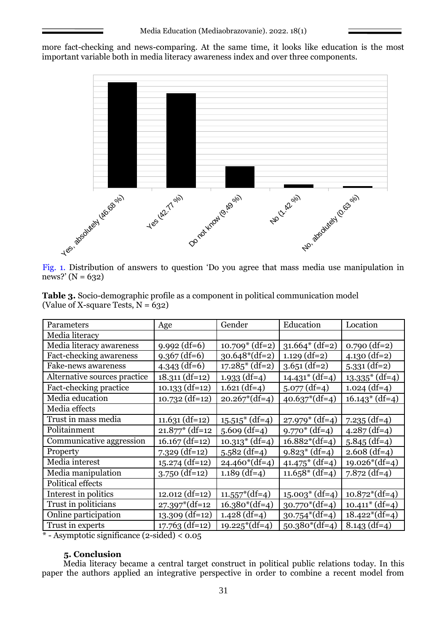more fact-checking and news-comparing. At the same time, it looks like education is the most important variable both in media literacy awareness index and over three components.



Fig. 1. Distribution of answers to question 'Do you agree that mass media use manipulation in news?' (N =  $632$ )

| <b>Table 3.</b> Socio-demographic profile as a component in political communication model |  |  |
|-------------------------------------------------------------------------------------------|--|--|
| (Value of X-square Tests, $N = 632$ )                                                     |  |  |

| Parameters                                                                                  | Age                                     | Gender            | Education         | Location          |
|---------------------------------------------------------------------------------------------|-----------------------------------------|-------------------|-------------------|-------------------|
| Media literacy                                                                              |                                         |                   |                   |                   |
| Media literacy awareness                                                                    | $9.992$ (df=6)                          | $10.709^*$ (df=2) | $31.664*(df=2)$   | $0.790$ (df=2)    |
| Fact-checking awareness                                                                     | $9.367$ (df=6)                          | $30.648*(df=2)$   | $1.129$ (df=2)    | $4.130$ (df=2)    |
| Fake-news awareness                                                                         | $4.343$ (df=6)                          | $17.285*(df=2)$   | $3.651$ (df=2)    | $5.331$ (df=2)    |
| Alternative sources practice                                                                | $18.311$ (df=12)                        | $1.933$ (df=4)    | $14.431^*$ (df=4) | $13.335^*$ (df=4) |
| Fact-checking practice                                                                      | $10.133$ (df=12)                        | $1.621$ (df=4)    | $5.077$ (df=4)    | $1.024$ (df=4)    |
| Media education                                                                             | $10.732$ (df=12)                        | $20.267*(df=4)$   | $40.637*(df=4)$   | $16.143^*$ (df=4) |
| Media effects                                                                               |                                         |                   |                   |                   |
| Trust in mass media                                                                         | $11.631$ (df=12)                        | $15.515*(df=4)$   | $27.979^*$ (df=4) | $7.235$ (df=4)    |
| Politainment                                                                                | $21.877*$ (df=12                        | $5.609$ (df=4)    | $9.770*(df=4)$    | $4.287$ (df=4)    |
| Communicative aggression                                                                    | $16.167$ (df=12)                        | $10.313*(df=4)$   | $16.882*(df=4)$   | $5.845$ (df=4)    |
| Property                                                                                    | $7.329$ (df=12)                         | $5.582$ (df=4)    | $9.823*(df=4)$    | $2.608$ (df=4)    |
| Media interest                                                                              | $15.274$ (df=12)                        | $24.460*(df=4)$   | $41.475*(df=4)$   | $19.026*(df=4)$   |
| Media manipulation                                                                          | $3.750$ (df=12)                         | $1.189$ (df=4)    | $11.658*(df=4)$   | $7.872$ (df=4)    |
| Political effects                                                                           |                                         |                   |                   |                   |
| Interest in politics                                                                        | $12.012$ (df=12)                        | $11.557*(df=4)$   | $15.003^*$ (df=4) | $10.872*(df=4)$   |
| Trust in politicians                                                                        | $27.397*(df=12)$                        | $16.380*(df=4)$   | $30.770*(df=4)$   | $10.411^*$ (df=4) |
| Online participation                                                                        | $13.309$ (df=12)                        | $1.428$ (df=4)    | $30.754*(df=4)$   | $18.422*(df=4)$   |
| Trust in experts<br>$\mathbf{A}$ and $\mathbf{A}$ are the set of $\mathbf{A}$<br>$\epsilon$ | $17.763$ (df=12)<br>$\cdot$ 1 1 $\cdot$ | $19.225*(df=4)$   | $50.380*(df=4)$   | $8.143$ (df=4)    |

\* - Asymptotic significance (2-sided) < 0.05

## **5. Conclusion**

Media literacy became a central target construct in political public relations today. In this paper the authors applied an integrative perspective in order to combine a recent model from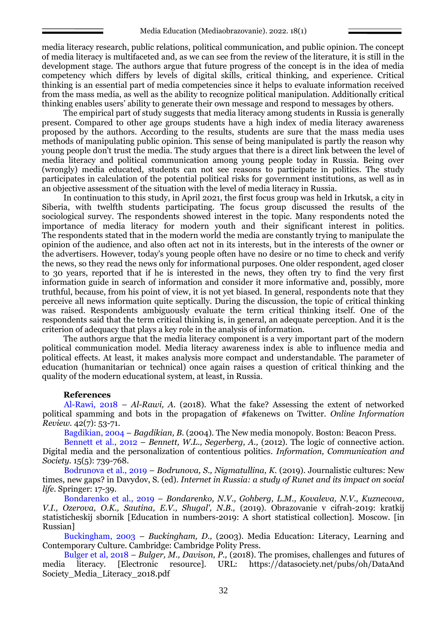media literacy research, public relations, political communication, and public opinion. The concept of media literacy is multifaceted and, as we can see from the review of the literature, it is still in the development stage. The authors argue that future progress of the concept is in the idea of media competency which differs by levels of digital skills, critical thinking, and experience. Critical thinking is an essential part of media competencies since it helps to evaluate information received from the mass media, as well as the ability to recognize political manipulation. Additionally critical thinking enables users' ability to generate their own message and respond to messages by others.

The empirical part of study suggests that media literacy among students in Russia is generally present. Compared to other age groups students have a high index of media literacy awareness proposed by the authors. According to the results, students are sure that the mass media uses methods of manipulating public opinion. This sense of being manipulated is partly the reason why young people don't trust the media. The study argues that there is a direct link between the level of media literacy and political communication among young people today in Russia. Being over (wrongly) media educated, students can not see reasons to participate in politics. The study participates in calculation of the potential political risks for government institutions, as well as in an objective assessment of the situation with the level of media literacy in Russia.

In continuation to this study, in April 2021, the first focus group was held in Irkutsk, a city in Siberia, with twelfth students participating. The focus group discussed the results of the sociological survey. The respondents showed interest in the topic. Many respondents noted the importance of media literacy for modern youth and their significant interest in politics. The respondents stated that in the modern world the media are constantly trying to manipulate the opinion of the audience, and also often act not in its interests, but in the interests of the owner or the advertisers. However, today's young people often have no desire or no time to check and verify the news, so they read the news only for informational purposes. One older respondent, aged closer to 30 years, reported that if he is interested in the news, they often try to find the very first information guide in search of information and consider it more informative and, possibly, more truthful, because, from his point of view, it is not yet biased. In general, respondents note that they perceive all news information quite septically. During the discussion, the topic of critical thinking was raised. Respondents ambiguously evaluate the term critical thinking itself. One of the respondents said that the term critical thinking is, in general, an adequate perception. And it is the criterion of adequacy that plays a key role in the analysis of information.

The authors argue that the media literacy component is a very important part of the modern political communication model. Media literacy awareness index is able to influence media and political effects. At least, it makes analysis more compact and understandable. The parameter of education (humanitarian or technical) once again raises a question of critical thinking and the quality of the modern educational system, at least, in Russia.

### **References**

Al-Rawi, 2018 – *Al-Rawi, A.* (2018). What the fake? Assessing the extent of networked political spamming and bots in the propagation of #fakenews on Twitter. *Online Information Review.* 42(7): 53-71.

Bagdikian, 2004 – *Bagdikian, B.* (2004). The New media monopoly. Boston: Beacon Press.

Bennett et al., 2012 – *Bennett, W.L., Segerberg, A.,* (2012). The logic of connective action. Digital media and the personalization of contentious politics. *Information, Communication and Society*. 15(5): 739-768.

Bodrunova et al., 2019 – *Bodrunova, S., Nigmatullina, K.* (2019). Journalistic cultures: New times, new gaps? in Davydov, S. (ed). *Internet in Russia: a study of Runet and its impact on social life*. Springer: 17-39.

Bondarenko et al., 2019 – *Bondarenko, N.V., Gohberg, L.M., Kovaleva, N.V., Kuznecova, V.I., Ozerova, O.K., Sautina, E.V., Shugal', N.B.,* (2019). Obrazovanie v cifrah-2019: kratkij statisticheskij sbornik [Education in numbers-2019: A short statistical collection]. Moscow. [in Russian]

Buckingham, 2003 – *Buckingham, D.,* (2003). Media Education: Literacy, Learning and Contemporary Culture*.* Cambridge: Cambridge Polity Press.

Bulger et al, 2018 – *Bulger, M., Davison, P.,* (2018). The promises, challenges and futures of media literacy. [Electronic resource]. URL: [https://datasociety.net/pubs/oh/DataAnd](https://datasociety.net/pubs/oh/DataAndSociety_Media_Literacy_2018.pdf) [Society\\_Media\\_Literacy\\_2018.pdf](https://datasociety.net/pubs/oh/DataAndSociety_Media_Literacy_2018.pdf)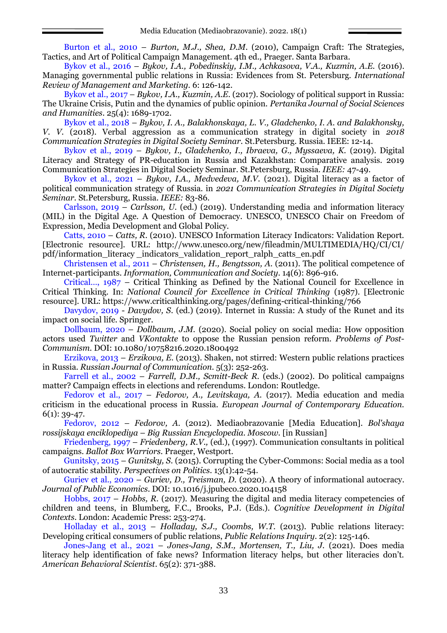Burton et al., 2010 – *Burton, M.J., Shea, D.M*. (2010), Campaign Craft: The Strategies, Tactics, and Art of Political Campaign Management. 4th ed., Praeger. Santa Barbara.

Bykov et al., 2016 – *Bykov, I.A., Pobedinskiy, I.M., Achkasova, V.A., Kuzmin, A.E.* (2016). Managing governmental public relations in Russia: Evidences from St. Petersburg. *International Review of Management and Marketing.* 6: 126-142.

Bykov et al., 2017 – *Bykov, I.A., Kuzmin, A.E*. (2017). Sociology of political support in Russia: The Ukraine Crisis, Putin and the dynamics of public opinion. *Pertanika Journal of Social Sciences and Humanities*. 25(4): 1689-1702.

Bykov et al., 2018 – *Bykov, I. A., Balakhonskaya, L. V., Gladchenko, I. A. and Balakhonsky, V. V.* (2018). Verbal aggression as a communication strategy in digital society in *2018 Communication Strategies in Digital Society Seminar.* St.Petersburg. Russia. IEEE: 12-14.

Bykov et al., 2019 – *Bykov, I., Gladchenko, I., Ibraeva, G., Myssaeva, K.* (2019). Digital Literacy and Strategy of PR-education in Russia and Kazakhstan: Comparative analysis. 2019 Communication Strategies in Digital Society Seminar. St.Petersburg, Russia. *IEEE:* 47-49.

Bykov et al., 2021 – *Bykov, I.A., Medvedeva, M.V.* (2021). Digital literacy as a factor of political communication strategy of Russia. in *2021 Communication Strategies in Digital Society Seminar.* St.Petersburg, Russia. *IEEE:* 83-86.

Carlsson, 2019 – *Carlsson, U.* (ed.) (2019). Understanding media and information literacy (MIL) in the Digital Age. A Question of Democracy. UNESCO, UNESCO Chair on Freedom of Expression, Media Development and Global Policy.

Catts, 2010 – *Catts, R.* (2010). UNESCO Information Literacy Indicators: Validation Report. [Electronic resource]. URL: http://www.unesco.org/new/fileadmin/MULTIMEDIA/HQ/CI/CI/ pdf/information\_literacy \_indicators\_validation\_report\_ralph\_catts\_en.pdf

Christensen et al., 2011 – *Christensen, Н., Bengtsson, А.* (2011). The political competence of Internet-participants. *Information, Communication and Society*. 14(6): 896-916.

Critical…, 1987 – Critical Thinking as Defined by the National Council for Excellence in Critical Thinking. In: *National Council for Excellence in Critical Thinking* (1987). [Electronic resource]. URL: https://www.criticalthinking.org/pages/defining-critical-thinking/766

Davydov, 2019 - *Davydov, S*. (ed.) (2019). Internet in Russia: A study of the Runet and its impact on social life. Springer.

Dollbaum, 2020 – *Dollbaum, J.M.* (2020). Social policy on social media: How opposition actors used *Twitter* and *VKontakte* to oppose the Russian pension reform. *Problems of Post-Communism*. DOI: 10.1080/10758216.2020.1800492

Erzikova, 2013 – *Erzikova, E.* (2013). Shaken, not stirred: Western public relations practices in Russia. *Russian Journal of Communication*. 5(3): 252-263.

Farrell et al., 2002 – *Farrell, D.M., Scmitt-Beck R.* (eds.) (2002). Do political campaigns matter? Campaign effects in elections and referendums. London: Routledge.

Fedorov et al., 2017 – *Fedorov, A., Levitskaya, A.* (2017). Media education and media criticism in the educational process in Russia. *European Journal of Contemporary Education.* 6(1): 39-47.

Fedorov, 2012 – *Fedorov, A.* (2012). Mediaobrazovanie [Media Education]. *Bol'shaya rossijskaya enciklopediya* – *Big Russian Encyclopedia. Moscow.* [in Russian]

Friedenberg, 1997 – *Friedenberg, R.V.,* (ed.), (1997). Communication consultants in political campaigns. *Ballot Box Warriors.* Praeger, Westport.

Gunitsky, 2015 – *Gunitsky, S.* (2015). Corrupting the Cyber-Commons: Social media as a tool of autocratic stability. *Perspectives on Politics*. 13(1):42-54.

Guriev et al., 2020 – *Guriev, D., Treisman, D.* (2020). A theory of informational autocracy. *Journal of Public Economics*. DOI: 10.1016/j.jpubeco.2020.104158

Hobbs, 2017 – *Hobbs, R.* (2017). Measuring the digital and media literacy competencies of children and teens, in Blumberg, F.C., Brooks, P.J. (Eds.). *Cognitive Development in Digital Contexts*. London: Academic Press: 253-274.

Holladay et al., 2013 – *Holladay, S.J., Coombs, W.T*. (2013). Public relations literacy: Developing critical consumers of public relations, *Public Relations Inquiry*. 2(2): 125-146.

Jones-Jang et al., 2021 – *Jones-Jang, S.M., Mortensen, T., Liu, J.* (2021). Does media literacy help identification of fake news? Information literacy helps, but other literacies don't. *American Behavioral Scientist*. 65(2): 371-388.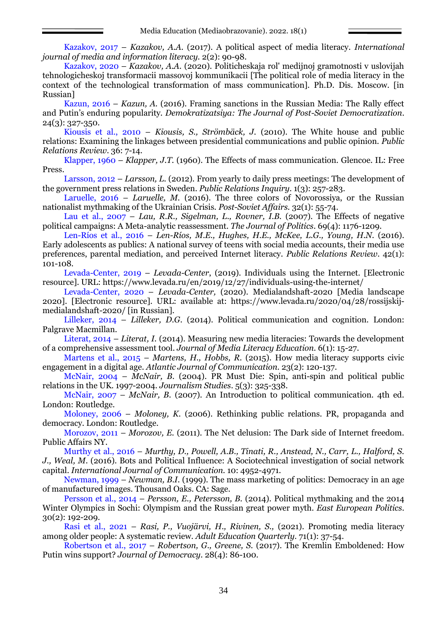Kazakov, 2017 – *Kazakov, A.A.* (2017). A political aspect of media literacy. *International journal of media and information literacy.* 2(2): 90-98.

Kazakov, 2020 – *Kazakov, A.A.* (2020). Politicheskaja rol' medijnoj gramotnosti v uslovijah tehnologicheskoj transformacii massovoj kommunikacii [The political role of media literacy in the context of the technological transformation of mass communication]. Ph.D. Dis. Moscow. [in Russian]

Kazun, 2016 – *Kazun, A.* (2016). Framing sanctions in the Russian Media: The Rally effect and Putin's enduring popularity. *Demokratizatsiya: The Journal of Post-Soviet Democratization*. 24(3): 327-350.

Kiousis et al., 2010 – *Kiousis, S., Strömbäck, J.* (2010). The White house and public relations: Examining the linkages between presidential communications and public opinion. *Public Relations Review*. 36: 7-14.

Klapper, 1960 – *Klapper, J.T.* (1960). The Effects of mass communication. Glencoe. IL: Free Press.

Larsson, 2012 – *Larsson, L.* (2012). From yearly to daily press meetings: The development of the government press relations in Sweden. *Public Relations Inquiry*. 1(3): 257-283.

Laruelle, 2016 – *Laruelle, M.* (2016). The three colors of Novorossiya, or the Russian nationalist mythmaking of the Ukrainian Crisis. *Post-Soviet Affairs.* 32(1): 55-74.

Lau et al., 2007 – *Lau, R.R., Sigelman, L., Rovner, I.B.* (2007). The Effects of negative political campaigns: A Meta-analytic reassessment. *The Journal of Politics*. 69(4): 1176-1209.

Len-Ríos et al., 2016 – *Len-Ríos, M.E., Hughes, H.E., McKee, L.G., Young, H.N.* (2016). Early adolescents as publics: A national survey of teens with social media accounts, their media use preferences, parental mediation, and perceived Internet literacy. *Public Relations Review*. 42(1): 101-108.

Levada-Center, 2019 – *Levada-Center*, (2019). Individuals using the Internet. [Electronic resource]. URL: https://www.levada.ru/en/2019/12/27/individuals-using-the-internet/

Levada-Center, 2020 – *Levada-Center,* (2020). Medialandshaft-2020 [Media landscape 2020]. [Electronic resource]. URL: available at: https://www.levada.ru/2020/04/28/rossijskijmedialandshaft-2020/ [in Russian].

Lilleker, 2014 – *Lilleker, D.G.* (2014). Political communication and cognition. London: Palgrave Macmillan.

Literat, 2014 – *Literat, I.* (2014). Measuring new media literacies: Towards the development of a comprehensive assessment tool. *Journal of Media Literacy Education.* 6(1): 15-27.

Martens et al., 2015 – *Martens, H., Hobbs, R.* (2015). How media literacy supports civic engagement in a digital age. *Atlantic Journal of Communication.* 23(2): 120-137.

McNair, 2004 – *McNair, B.* (2004). PR Must Die: Spin, anti-spin and political public relations in the UK. 1997-2004. *Journalism Studies*. 5(3): 325-338.

McNair, 2007 – *McNair*, *B.* (2007). An Introduction to political communication. 4th ed. London: Routledge.

Moloney, 2006 – *Moloney, K.* (2006). Rethinking public relations. PR, propaganda and democracy. London: Routledge.

Morozov, 2011 – *Morozov, E.* (2011). The Net delusion: The Dark side of Internet freedom. Public Affairs NY.

Murthy et al., 2016 – *Murthy, D., Powell, A.B., Tinati, R., Anstead, N., Carr, L., Halford, S. J., Weal, M*. (2016). Bots and Political Influence: A Sociotechnical investigation of social network capital. *International Journal of Communication*. 10: 4952-4971.

Newman, 1999 – *Newman, B.I.* (1999). The mass marketing of politics: Democracy in an age of manufactured images. Thousand Oaks. CA: Sage.

Persson et al., 2014 – *Persson, E., Petersson, B.* (2014). Political mythmaking and the 2014 Winter Olympics in Sochi: Olympism and the Russian great power myth. *East European Politics*. 30(2): 192-209.

Rasi et al., 2021 – *Rasi, P., Vuojärvi, H., Rivinen, S.,* (2021). Promoting media literacy among older people: A systematic review. *Adult Education Quarterly*. 71(1): 37-54.

Robertson et al., 2017 – *Robertson, G., Greene, S.* (2017). The Kremlin Emboldened: How Putin wins support? *Journal of Democracy*. 28(4): 86-100.